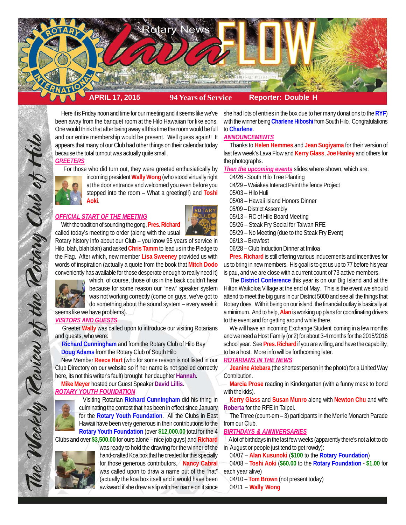

Here it is Friday noon and time for our meeting and it seems like we've been away from the banquet room at the Hilo Hawaiian for like eons. One would think that after being away all this time the room would be full and our entire membership would be present. Well guess again!! It appears that many of our Club had other things on their calendar today because the total turnout was actually quite small.

## *GREETERS*

For those who did turn out, they were greeted enthusiatically by



incoming president **Wally Wong** (who stood virtually right at the door entrance and welcomed you even before you stepped into the room – What a greeting!!) and **Toshi Aoki**.

## *OFFICIAL START OF THE MEETING*

With the tradition of sounding the gong, **Pres. Richard** called today's meeting to order (along with the usual



Rotary history info about our Club – you know 95 years of service in Hilo, blah, blah blah) and asked **Chris Tamm** to lead us in the Pledge to the Flag. After which, new member **Lisa Sweeney** provided us with words of inspiration (actually a quote from the book that **Mitch Dodo** conveniently has available for those desperate enough to really need it)



The Weekly Review of the Rotary Club of Hilo

which, of course, those of us in the back couldn't hear because for some reason our "new" speaker system was not working correctly (come on guys, we've got to do something about the sound system – every week it

seems like we have problems). *VISITORS AND GUESTS*

 Greeter **Wally** was called upon to introduce our visiting Rotarians and guests, who were:

 **Richard Cunningham** and from the Rotary Club of Hilo Bay **Doug Adams** from the Rotary Club of South Hilo

 New Member **Reece Hart** (who for some reason is not listed in our Club Directory on our website so if her name is not spelled correctly here, its not this writer's fault) brought her daughter **Hannah**.

# **Mike Meyer** hosted our Guest Speaker **David Lillis**. *ROTARY YOUTH FOUNDATION*



 Visiting Rotarian **Richard Cunningham** did his thing in culminating the contest that has been in effect since January for the **Rotary Youth Foundation**. All the Clubs in East Hawaii have been very generous in their contributions to the **Rotary Youth Foundation** (over **\$12,000.00** total for the 4

Clubs and over **\$3,500.00** for ours alone – nice job guys) and **Richard**



was ready to hold the drawing for the winner of the hand-crafted Koa box that he created for this specially for those generous contributors. **Nancy Cabral** was called upon to draw a name out of the "hat" (actually the koa box itself and it would have been awkward if she drew a slip with her name on it since

she had lots of entries in the box due to her many donations to the **RYF**) with the winner being **Charlene Hiboshi** from South Hilo. Congratulations to **Charlene**.

### *ANNOUNCEMENTS*

 Thanks to **Helen Hemmes** and **Jean Sugiyama** for their version of last few week's Lava Flow and **Kerry Glass**, **Joe Hanley** and others for the photographs.

*Then the upcoming events* slides where shown, which are:

- 04/26 South Hilo Tree Planting
- 04/29 Waiakea Interact Paint the fence Project
- 05/03 Hilo Huli
- 05/08 Hawaii Island Honors Dinner
- 05/09 District Assembly
- 05/13 RC of Hilo Board Meeting
- 05/26 Steak Fry Social for Taiwan RFE
- 05/29 No Meeting (due to the Steak Fry Event)
- 06/13 Brewfest
- 06/28 Club Induction Dinner at Imiloa

**Pres. Richard** is still offering various inducements and incentives for us to bring in new members. His goal is to get us up to 77 before his year is pau, and we are close with a current count of 73 active members.

The **District Conference** this year is on our Big Island and at the Hilton Waikoloa Village at the end of May. This is the event we should attend to meet the big guns in our District 5000 and see all the things that Rotary does. With it being on our island, the financial outlay is basically at a minimum. And to help, **Alan** is working up plans for coordinating drivers to the event and for getting around while there.

We will have an incoming Exchange Student coming in a few months and we need a Host Family (or 2) for about 3-4 months for the 2015/2016 school year. See **Pres. Richard** if you are willing, and have the capability, to be a host. More info will be forthcoming later.

## *ROTARIANS IN THE NEWS*

**Jeanine Atebara** (the shortest person in the photo) for a United Way Contribution.

**Marcia Prose** reading in Kindergarten (with a funny mask to bond with the kids).

**Kerry Glass** and **Susan Munro** along with **Newton Chu** and wife **Roberta** for the RFE in Taipei.

The Three (count-em – 3) participants in the Merrie Monarch Parade from our Club.

### *BIRTHDAYS & ANNIVERSARIES*

 A lot of birthdays in the last few weeks (apparently there's not a lot to do in August or people just tend to get rowdy):

04/07 – **Alan Kusunoki** (**\$100** to the **Rotary Foundation**)

04/08 – **Toshi Aoki** (**\$60.00** to the **Rotary Foundation** - **\$1.00** for each year alive)

04/10 – **Tom Brown** (not present today)

04/11 – **Wally Wong**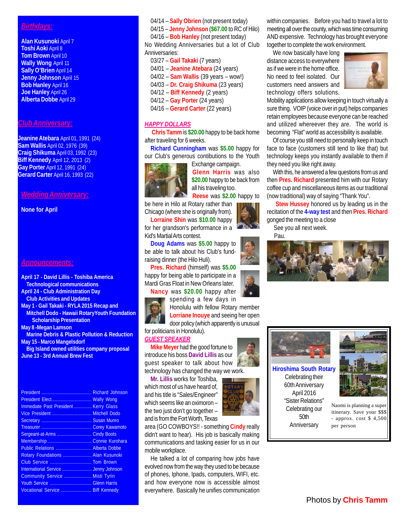# *Birthdays:*

**Alan Kusunoki** April 7 **Toshi Aoki** April 8 **Tom Brown** April 10 **Wally Wong** April 11 **Sally O'Brien** April 14 **Jenny Johnson** April 15 **Bob Hanley** April 16 **Joe Hanley** April 26 **Alberta Dobbe** April 29

## *Club Anniversary:*

**Jeanine Atebara** April 01, 1991 (24) **Sam Wallis** April 02, 1976 (39) **Craig Shikuma** April 03, 1992 (23) **Biff Kennedy** April 12, 2013 (2) **Gay Porter** April 12, 1991 (24) **Gerard Carter** April 16, 1993 (22)

## *Wedding Anniversary:*

**None for April**

#### *Announcements:*

**April 17 - David Lillis - Toshiba America Technological communications April 24 - Club Administration Day Club Activities and Updates May 1 - Gail Takaki - RYLA 2015 Recap and Mitchell Dodo - Hawaii RotaryYouth Foundation Scholarship Presentation May 8 -Megan Lamson Marine Debris & Plastic Pollution & Reduction May 15 - Marco Mangelsdorf Big Island owned utilities company proposal June 13 - 3rd Annual Brew Fest**

|                                       | Richard Johnson |
|---------------------------------------|-----------------|
|                                       |                 |
| Immediate Past President  Kerry Glass |                 |
| Vice President  Mitchell Dodo         |                 |
|                                       |                 |
|                                       |                 |
| Sergeant-at-Arms  Cindy Boots         |                 |
|                                       |                 |
| Public Relations  Alberta Dobbe       |                 |
| Rotary Foundations  Alan Kusunoki     |                 |
| Club Service  Tom Brown               |                 |
|                                       |                 |
| Community Service  Misti Tyrin        |                 |
|                                       |                 |
| Vocational Service  Biff Kennedy      |                 |
|                                       |                 |

04/14 – **Sally Obrien** (not present today)

04/15 – **Jenny Johnson** (**\$67.00** to RC of Hilo)

04/16 – **Bob Hanley** (not present today) No Wedding Anniversaries but a lot of Club Anniversaries:

- 03/27 **Gail Takaki** (7 years)
- 04/01 **Jeanine Atebara** (24 years)
- 04/02 **Sam Wallis** (39 years wow!)
- 04/03 **Dr. Craig Shikuma** (23 years)
- 04/12 **Biff Kennedy** (2 years)
- 04/12 – **Gay Porter** (24 years)
- 04/16 **Gerard Carter** (22 years)

## *HAPPY DOLLARS*

**Chris Tamm** is **\$20.00** happy to be back home after traveling for 6 weeks.

**Richard Cunningham** was **\$5.00** happy for our Club's generous contibutions to the Youth



Exchange campaign. **Glenn Harris** was also **\$20.00** happy to be back from all his traveling too. **Reese** was **\$2.00** happy to

be here in Hilo at Rotary rather than Chicago (where she is originally from).

**Lorraine Shin** was **\$10.00** happy

for her grandson's performance in a Kid's Martial Arts contest.

**Doug Adams** was **\$5.00** happy to be able to talk about his Club's fundraising dinner (the Hilo Huli).

**Pres. Richard** (himself) was **\$5.00** happy for being able to participate in a Mardi Gras Float in New Orleans later.

**Nancy** was **\$20.00** happy after spending a few days in

Honolulu with fellow Rotary member **Lorriane Inouye** and seeing her open door policy (which apparently is unusual

for politicians in Honolulu). *GUEST SPEAKER*

**Mike Meyer** had the good fortune to introduce his boss **David Lillis** as our guest speaker to talk about how technology has changed the way we work.

**Mr. Lillis** works for Toshiba, which most of us have heard of, and his title is "Sales/Engineer" which seems like an oximoron – the two just don't go together – and is from the Fort Worth, Texas

area (GO COWBOYS!! - something **Cindy** really didn't want to hear). His job is basically making communications and tasking easier for us in our mobile workplace.

He talked a lot of comparing how jobs have evolved now from the way they used to be because of phones, Iphone, Ipads, computers, WIFI, etc. and how everyone now is accessible almost everywhere. Basically he unifies communication



We now basically have long distance access to everywhere as if we were in the home office. No need to feel isolated. Our customers need answers and technology offers solutions.



Mobility applications allow keeping in touch virtually a sure thing. VOIP (voice over in put) helps companies retain employees because everyone can be reached and utilized whereever they are. The world is becoming "Flat" world as accessibility is available.

Of course you still need to personally keep in touch face to face (customers still tend to like that) but technology keeps you instantly available to them if they need you like right away.

With this, he answered a few questions from us and then **Pres. Richard** presented him with our Rotary coffee cup and miscellaneous items as our traditional (now traditional) way of saying "Thank You".

 **Stew Hussey** honored us by leading us in the recitation of the **4-way test** and then **Pres. Richard** gonged the meeting to a close

See you all next week.

Pau.





**Hiroshima South Rotary** Celebrating their 60th Anniversary April 2016 "Sister Relations" Celebrating our 50th Anniversary



Naomi is planning a super itinerary. Save your \$\$\$ - approx. cost \$ 4,500 per person